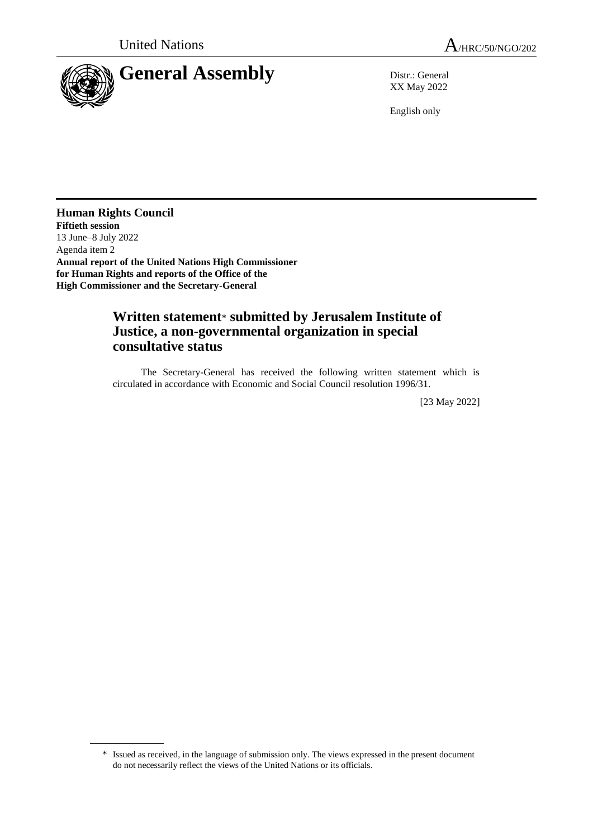

XX May 2022

English only

**Human Rights Council Fiftieth session** 13 June–8 July 2022 Agenda item 2 **Annual report of the United Nations High Commissioner for Human Rights and reports of the Office of the High Commissioner and the Secretary-General**

## **Written statement**\* **submitted by Jerusalem Institute of Justice, a non-governmental organization in special consultative status**

The Secretary-General has received the following written statement which is circulated in accordance with Economic and Social Council resolution 1996/31.

[23 May 2022]

<sup>\*</sup> Issued as received, in the language of submission only. The views expressed in the present document do not necessarily reflect the views of the United Nations or its officials.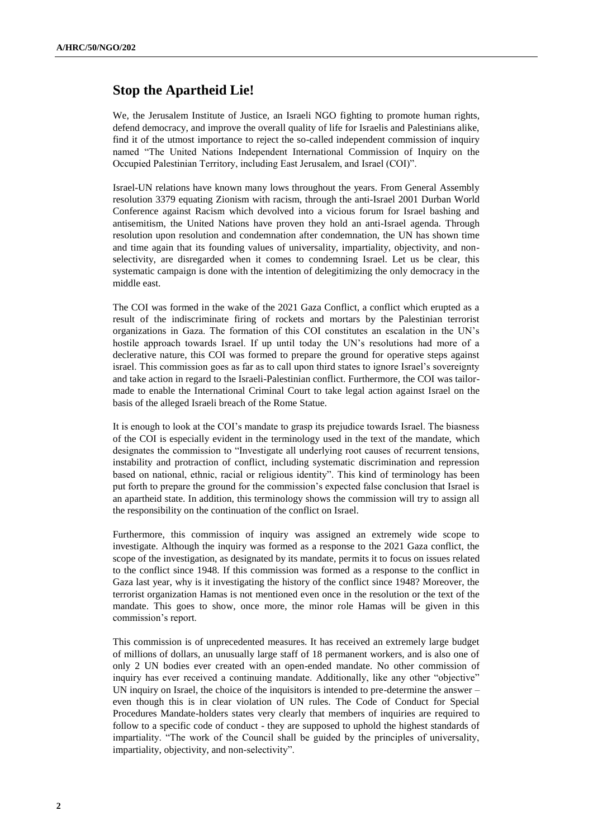## **Stop the Apartheid Lie!**

We, the Jerusalem Institute of Justice, an Israeli NGO fighting to promote human rights, defend democracy, and improve the overall quality of life for Israelis and Palestinians alike, find it of the utmost importance to reject the so-called independent commission of inquiry named "The United Nations Independent International Commission of Inquiry on the Occupied Palestinian Territory, including East Jerusalem, and Israel (COI)".

Israel-UN relations have known many lows throughout the years. From General Assembly resolution 3379 equating Zionism with racism, through the anti-Israel 2001 Durban World Conference against Racism which devolved into a vicious forum for Israel bashing and antisemitism, the United Nations have proven they hold an anti-Israel agenda. Through resolution upon resolution and condemnation after condemnation, the UN has shown time and time again that its founding values of universality, impartiality, objectivity, and nonselectivity, are disregarded when it comes to condemning Israel. Let us be clear, this systematic campaign is done with the intention of delegitimizing the only democracy in the middle east.

The COI was formed in the wake of the 2021 Gaza Conflict, a conflict which erupted as a result of the indiscriminate firing of rockets and mortars by the Palestinian terrorist organizations in Gaza. The formation of this COI constitutes an escalation in the UN's hostile approach towards Israel. If up until today the UN's resolutions had more of a declerative nature, this COI was formed to prepare the ground for operative steps against israel. This commission goes as far as to call upon third states to ignore Israel's sovereignty and take action in regard to the Israeli-Palestinian conflict. Furthermore, the COI was tailormade to enable the International Criminal Court to take legal action against Israel on the basis of the alleged Israeli breach of the Rome Statue.

It is enough to look at the COI's mandate to grasp its prejudice towards Israel. The biasness of the COI is especially evident in the terminology used in the text of the mandate, which designates the commission to "Investigate all underlying root causes of recurrent tensions, instability and protraction of conflict, including systematic discrimination and repression based on national, ethnic, racial or religious identity". This kind of terminology has been put forth to prepare the ground for the commission's expected false conclusion that Israel is an apartheid state. In addition, this terminology shows the commission will try to assign all the responsibility on the continuation of the conflict on Israel.

Furthermore, this commission of inquiry was assigned an extremely wide scope to investigate. Although the inquiry was formed as a response to the 2021 Gaza conflict, the scope of the investigation, as designated by its mandate, permits it to focus on issues related to the conflict since 1948. If this commission was formed as a response to the conflict in Gaza last year, why is it investigating the history of the conflict since 1948? Moreover, the terrorist organization Hamas is not mentioned even once in the resolution or the text of the mandate. This goes to show, once more, the minor role Hamas will be given in this commission's report.

This commission is of unprecedented measures. It has received an extremely large budget of millions of dollars, an unusually large staff of 18 permanent workers, and is also one of only 2 UN bodies ever created with an open-ended mandate. No other commission of inquiry has ever received a continuing mandate. Additionally, like any other "objective" UN inquiry on Israel, the choice of the inquisitors is intended to pre-determine the answer – even though this is in clear violation of UN rules. The Code of Conduct for Special Procedures Mandate-holders states very clearly that members of inquiries are required to follow to a specific code of conduct - they are supposed to uphold the highest standards of impartiality. "The work of the Council shall be guided by the principles of universality, impartiality, objectivity, and non-selectivity".